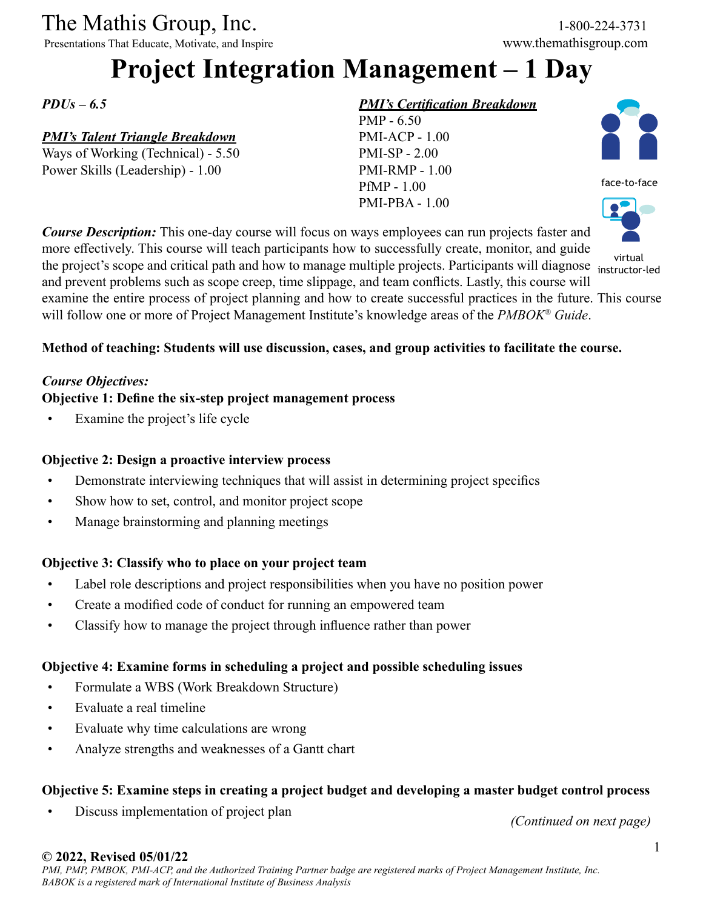# The Mathis Group, Inc. 1-800-224-3731<br>
Presentations That Educate, Motivate, and Inspire www.themathisgroup.com

Presentations That Educate, Motivate, and Inspire

# **Project Integration Management – 1 Day**

*PDUs – 6.5*

# *PMI's Talent Triangle Breakdown*

Ways of Working (Technical) - 5.50 Power Skills (Leadership) - 1.00

## *PMI's Certification Breakdown*





*Course Description:* This one-day course will focus on ways employees can run projects faster and more effectively. This course will teach participants how to successfully create, monitor, and guide the project's scope and critical path and how to manage multiple projects. Participants will diagnose instructor and prevent problems such as scope creep, time slippage, and team conflicts. Lastly, this course will examine the entire process of project planning and how to create successful practices in the future. This course will follow one or more of Project Management Institute's knowledge areas of the *PMBOK® Guide*.



# **Method of teaching: Students will use discussion, cases, and group activities to facilitate the course.**

#### *Course Objectives:*

### **Objective 1: Define the six-step project management process**

Examine the project's life cycle

## **Objective 2: Design a proactive interview process**

- Demonstrate interviewing techniques that will assist in determining project specifics
- Show how to set, control, and monitor project scope
- Manage brainstorming and planning meetings

# **Objective 3: Classify who to place on your project team**

- Label role descriptions and project responsibilities when you have no position power
- Create a modified code of conduct for running an empowered team
- Classify how to manage the project through influence rather than power

# **Objective 4: Examine forms in scheduling a project and possible scheduling issues**

- Formulate a WBS (Work Breakdown Structure)
- Evaluate a real timeline
- Evaluate why time calculations are wrong
- Analyze strengths and weaknesses of a Gantt chart

# **Objective 5: Examine steps in creating a project budget and developing a master budget control process**

• Discuss implementation of project plan

*(Continued on next page)*

#### **© 2022, Revised 05/01/22**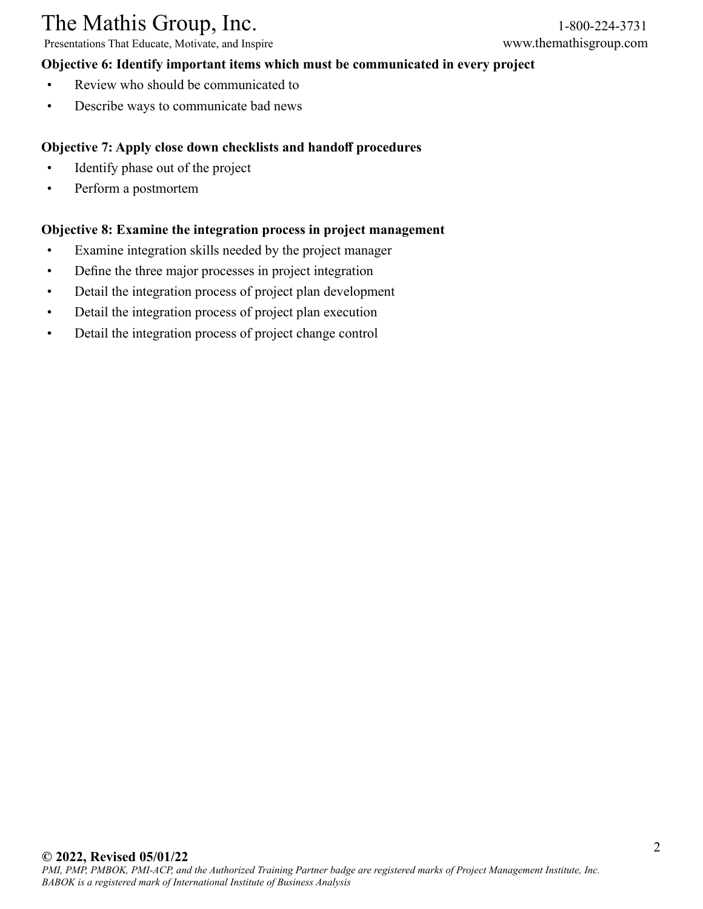# The Mathis Group, Inc. 1-800-224-3731<br>
Presentations That Educate, Motivate, and Inspire www.themathisgroup.com

Presentations That Educate, Motivate, and Inspire

#### **Objective 6: Identify important items which must be communicated in every project**

- Review who should be communicated to
- Describe ways to communicate bad news

## **Objective 7: Apply close down checklists and handoff procedures**

- Identify phase out of the project
- Perform a postmortem

### **Objective 8: Examine the integration process in project management**

- Examine integration skills needed by the project manager
- Define the three major processes in project integration
- Detail the integration process of project plan development
- Detail the integration process of project plan execution
- Detail the integration process of project change control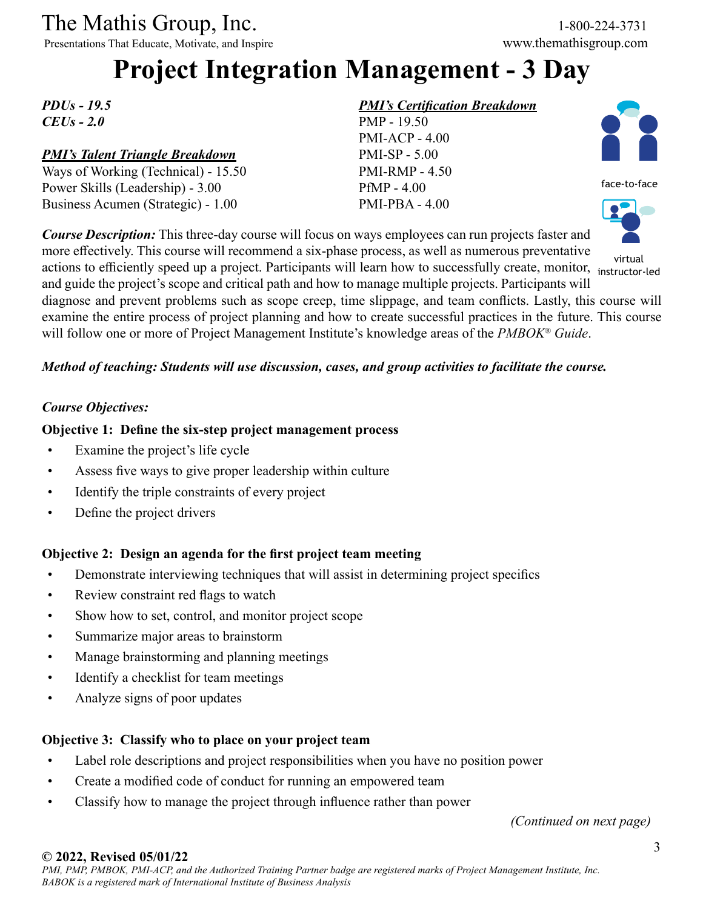# The Mathis Group, Inc. 1-800-224-3731<br>
Presentations That Educate, Motivate, and Inspire www.themathisgroup.com

Presentations That Educate, Motivate, and Inspire

# **Project Integration Management - 3 Day**

*PDUs - 19.5 CEUs - 2.0*

# *PMI's Talent Triangle Breakdown*

Ways of Working (Technical) - 15.50 Power Skills (Leadership) - 3.00 Business Acumen (Strategic) - 1.00

# *PMI's Certification Breakdown*





and guide the project's scope and critical path and how to manage multiple projects. Participants will diagnose and prevent problems such as scope creep, time slippage, and team conflicts. Lastly, this course will examine the entire process of project planning and how to create successful practices in the future. This course will follow one or more of Project Management Institute's knowledge areas of the *PMBOK® Guide*.

### *Method of teaching: Students will use discussion, cases, and group activities to facilitate the course.*

### *Course Objectives:*

#### **Objective 1: Define the six-step project management process**

- Examine the project's life cycle
- Assess five ways to give proper leadership within culture
- Identify the triple constraints of every project
- Define the project drivers

# **Objective 2: Design an agenda for the first project team meeting**

- Demonstrate interviewing techniques that will assist in determining project specifics
- Review constraint red flags to watch
- Show how to set, control, and monitor project scope
- Summarize major areas to brainstorm
- Manage brainstorming and planning meetings
- Identify a checklist for team meetings
- Analyze signs of poor updates

#### **Objective 3: Classify who to place on your project team**

- Label role descriptions and project responsibilities when you have no position power
- Create a modified code of conduct for running an empowered team
- Classify how to manage the project through influence rather than power

*(Continued on next page)*

# **© 2022, Revised 05/01/22**



virtual